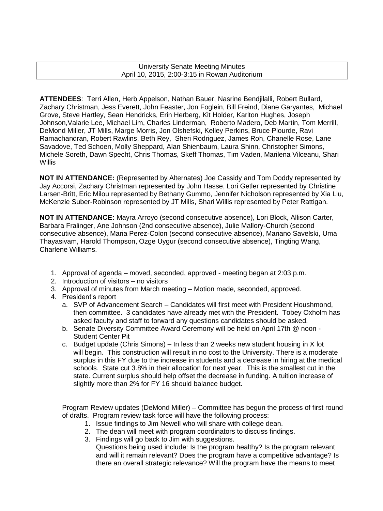University Senate Meeting Minutes April 10, 2015, 2:00-3:15 in Rowan Auditorium

**ATTENDEES**: Terri Allen, Herb Appelson, Nathan Bauer, Nasrine Bendjilalli, Robert Bullard, Zachary Christman, Jess Everett, John Feaster, Jon Foglein, Bill Freind, Diane Garyantes, Michael Grove, Steve Hartley, Sean Hendricks, Erin Herberg, Kit Holder, Karlton Hughes, Joseph Johnson,Valarie Lee, Michael Lim, Charles Linderman, Roberto Madero, Deb Martin, Tom Merrill, DeMond Miller, JT Mills, Marge Morris, Jon Olshefski, Kelley Perkins, Bruce Plourde, Ravi Ramachandran, Robert Rawlins, Beth Rey, Sheri Rodriguez, James Roh, Chanelle Rose, Lane Savadove, Ted Schoen, Molly Sheppard, Alan Shienbaum, Laura Shinn, Christopher Simons, Michele Soreth, Dawn Specht, Chris Thomas, Skeff Thomas, Tim Vaden, Marilena Vilceanu, Shari **Willis** 

**NOT IN ATTENDANCE:** (Represented by Alternates) Joe Cassidy and Tom Doddy represented by Jay Accorsi, Zachary Christman represented by John Hasse, Lori Getler represented by Christine Larsen-Britt, Eric Milou represented by Bethany Gummo, Jennifer Nicholson represented by Xia Liu, McKenzie Suber-Robinson represented by JT Mills, Shari Willis represented by Peter Rattigan.

**NOT IN ATTENDANCE:** Mayra Arroyo (second consecutive absence), Lori Block, Allison Carter, Barbara Fralinger, Ane Johnson (2nd consecutive absence), Julie Mallory-Church (second consecutive absence), Maria Perez-Colon (second consecutive absence), Mariano Savelski, Uma Thayasivam, Harold Thompson, Ozge Uygur (second consecutive absence), Tingting Wang, Charlene Williams.

- 1. Approval of agenda moved, seconded, approved meeting began at 2:03 p.m.
- 2. Introduction of visitors no visitors
- 3. Approval of minutes from March meeting Motion made, seconded, approved.
- 4. President's report
	- a. SVP of Advancement Search Candidates will first meet with President Houshmond, then committee. 3 candidates have already met with the President. Tobey Oxholm has asked faculty and staff to forward any questions candidates should be asked.
	- b. Senate Diversity Committee Award Ceremony will be held on April 17th @ noon Student Center Pit
	- c. Budget update (Chris Simons) In less than 2 weeks new student housing in X lot will begin. This construction will result in no cost to the University. There is a moderate surplus in this FY due to the increase in students and a decrease in hiring at the medical schools. State cut 3.8% in their allocation for next year. This is the smallest cut in the state. Current surplus should help offset the decrease in funding. A tuition increase of slightly more than 2% for FY 16 should balance budget.

Program Review updates (DeMond Miller) – Committee has begun the process of first round of drafts. Program review task force will have the following process:

- 1. Issue findings to Jim Newell who will share with college dean.
- 2. The dean will meet with program coordinators to discuss findings.
- 3. Findings will go back to Jim with suggestions.

Questions being used include: Is the program healthy? Is the program relevant and will it remain relevant? Does the program have a competitive advantage? Is there an overall strategic relevance? Will the program have the means to meet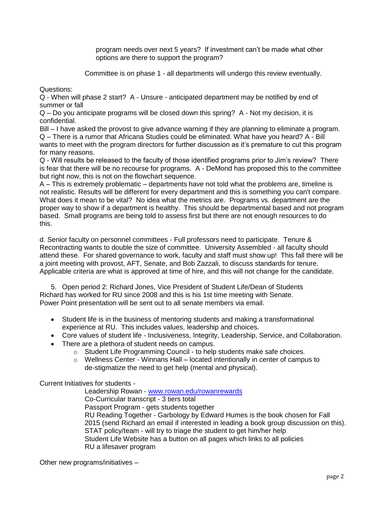program needs over next 5 years? If investment can't be made what other options are there to support the program?

Committee is on phase 1 - all departments will undergo this review eventually.

Questions:

Q - When will phase 2 start? A - Unsure - anticipated department may be notified by end of summer or fall

Q – Do you anticipate programs will be closed down this spring? A - Not my decision, it is confidential.

Bill – I have asked the provost to give advance warning if they are planning to eliminate a program. Q – There is a rumor that Africana Studies could be eliminated. What have you heard? A - Bill wants to meet with the program directors for further discussion as it's premature to cut this program for many reasons.

Q - Will results be released to the faculty of those identified programs prior to Jim's review? There is fear that there will be no recourse for programs. A - DeMond has proposed this to the committee but right now, this is not on the flowchart sequence.

A – This is extremely problematic – departments have not told what the problems are, timeline is not realistic. Results will be different for every department and this is something you can't compare. What does it mean to be vital? No idea what the metrics are. Programs vs. department are the proper way to show if a department is healthy. This should be departmental based and not program based. Small programs are being told to assess first but there are not enough resources to do this.

d. Senior faculty on personnel committees - Full professors need to participate. Tenure & Recontracting wants to double the size of committee. University Assembled - all faculty should attend these. For shared governance to work, faculty and staff must show up! This fall there will be a joint meeting with provost, AFT, Senate, and Bob Zazzali, to discuss standards for tenure. Applicable criteria are what is approved at time of hire, and this will not change for the candidate.

5. Open period 2: Richard Jones, Vice President of Student Life/Dean of Students Richard has worked for RU since 2008 and this is his 1st time meeting with Senate. Power Point presentation will be sent out to all senate members via email.

- Student life is in the business of mentoring students and making a transformational experience at RU. This includes values, leadership and choices.
- Core values of student life Inclusiveness, Integrity, Leadership, Service, and Collaboration.
- There are a plethora of student needs on campus.
	- o Student Life Programming Council to help students make safe choices.
	- $\circ$  Wellness Center Winnans Hall located intentionally in center of campus to de-stigmatize the need to get help (mental and physical).

Current Initiatives for students -

Leadership Rowan - [www.rowan.edu/rowanrewards](http://www.rowan.edu/rowanrewards) Co-Curricular transcript - 3 tiers total Passport Program - gets students together RU Reading Together - Garbology by Edward Humes is the book chosen for Fall 2015 (send Richard an email if interested in leading a book group discussion on this). STAT policy/team - will try to triage the student to get him/her help Student Life Website has a button on all pages which links to all policies RU a lifesaver program

Other new programs/initiatives –